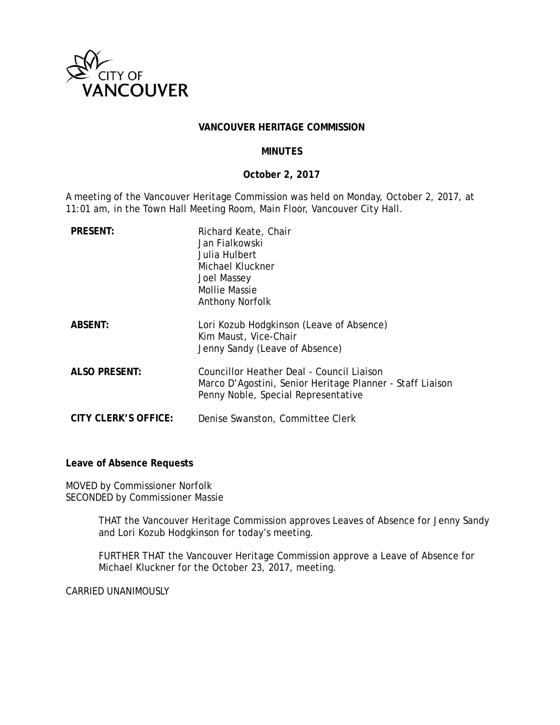

#### **VANCOUVER HERITAGE COMMISSION**

### **MINUTES**

### **October 2, 2017**

A meeting of the Vancouver Heritage Commission was held on Monday, October 2, 2017, at 11:01 am, in the Town Hall Meeting Room, Main Floor, Vancouver City Hall.

| <b>PRESENT:</b>      | Richard Keate, Chair<br>Jan Fialkowski<br>Julia Hulbert<br>Michael Kluckner<br>Joel Massey<br><b>Mollie Massie</b><br>Anthony Norfolk         |
|----------------------|-----------------------------------------------------------------------------------------------------------------------------------------------|
| <b>ABSENT:</b>       | Lori Kozub Hodgkinson (Leave of Absence)<br>Kim Maust, Vice-Chair<br>Jenny Sandy (Leave of Absence)                                           |
| <b>ALSO PRESENT:</b> | Councillor Heather Deal - Council Liaison<br>Marco D'Agostini, Senior Heritage Planner - Staff Liaison<br>Penny Noble, Special Representative |
| CITY CLERK'S OFFICE: | Denise Swanston, Committee Clerk                                                                                                              |

**Leave of Absence Requests** 

MOVED by Commissioner Norfolk SECONDED by Commissioner Massie

> THAT the Vancouver Heritage Commission approves Leaves of Absence for Jenny Sandy and Lori Kozub Hodgkinson for today's meeting.

FURTHER THAT the Vancouver Heritage Commission approve a Leave of Absence for Michael Kluckner for the October 23, 2017, meeting.

CARRIED UNANIMOUSLY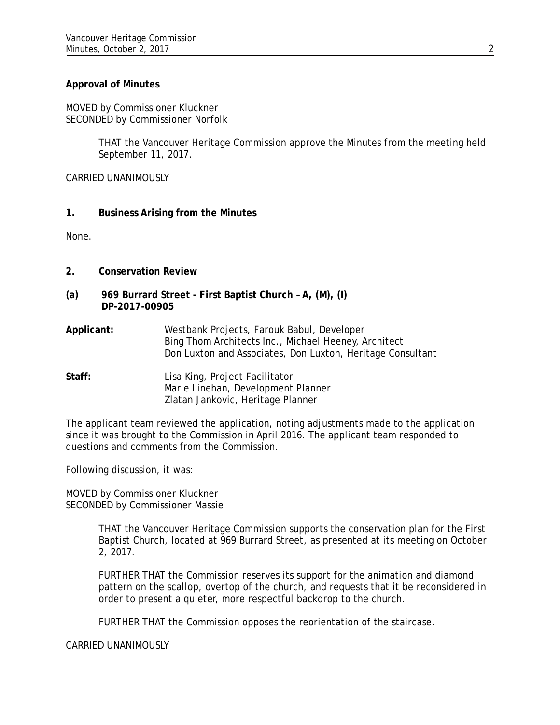## **Approval of Minutes**

MOVED by Commissioner Kluckner SECONDED by Commissioner Norfolk

> THAT the Vancouver Heritage Commission approve the Minutes from the meeting held September 11, 2017.

CARRIED UNANIMOUSLY

**1. Business Arising from the Minutes** 

None.

- **2. Conservation Review**
- **(a) 969 Burrard Street First Baptist Church A, (M), (I) DP-2017-00905**
- **Applicant:** Westbank Projects, Farouk Babul, Developer Bing Thom Architects Inc., Michael Heeney, Architect Don Luxton and Associates, Don Luxton, Heritage Consultant

**Staff:** Lisa King, Project Facilitator Marie Linehan, Development Planner Zlatan Jankovic, Heritage Planner

The applicant team reviewed the application, noting adjustments made to the application since it was brought to the Commission in April 2016. The applicant team responded to questions and comments from the Commission.

Following discussion, it was:

MOVED by Commissioner Kluckner SECONDED by Commissioner Massie

> THAT the Vancouver Heritage Commission supports the conservation plan for the First Baptist Church, located at 969 Burrard Street, as presented at its meeting on October 2, 2017.

> FURTHER THAT the Commission reserves its support for the animation and diamond pattern on the scallop, overtop of the church, and requests that it be reconsidered in order to present a quieter, more respectful backdrop to the church.

FURTHER THAT the Commission opposes the reorientation of the staircase.

CARRIED UNANIMOUSLY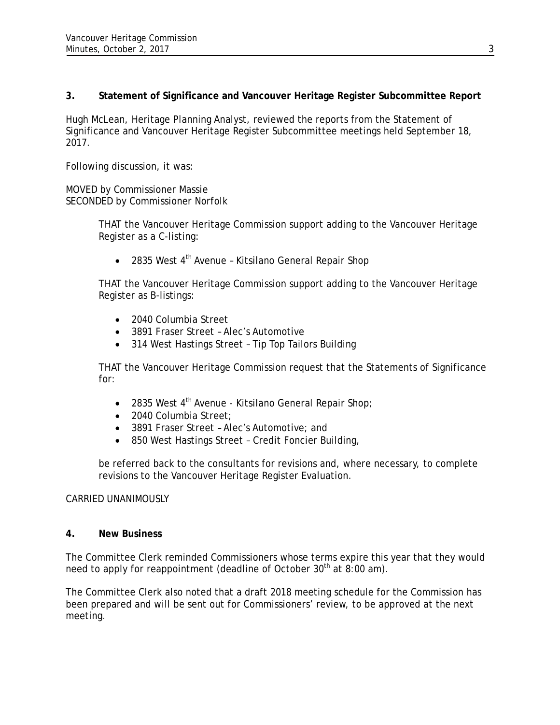## **3. Statement of Significance and Vancouver Heritage Register Subcommittee Report**

Hugh McLean, Heritage Planning Analyst, reviewed the reports from the Statement of Significance and Vancouver Heritage Register Subcommittee meetings held September 18, 2017.

Following discussion, it was:

MOVED by Commissioner Massie SECONDED by Commissioner Norfolk

> THAT the Vancouver Heritage Commission support adding to the Vancouver Heritage Register as a C-listing:

• 2835 West  $4<sup>th</sup>$  Avenue - Kitsilano General Repair Shop

THAT the Vancouver Heritage Commission support adding to the Vancouver Heritage Register as B-listings:

- 2040 Columbia Street
- 3891 Fraser Street Alec's Automotive
- 314 West Hastings Street Tip Top Tailors Building

THAT the Vancouver Heritage Commission request that the Statements of Significance for:

- 2835 West  $4<sup>th</sup>$  Avenue Kitsilano General Repair Shop;
- 2040 Columbia Street;
- 3891 Fraser Street Alec's Automotive; and
- 850 West Hastings Street Credit Foncier Building,

be referred back to the consultants for revisions and, where necessary, to complete revisions to the Vancouver Heritage Register Evaluation.

## CARRIED UNANIMOUSLY

## **4. New Business**

The Committee Clerk reminded Commissioners whose terms expire this year that they would need to apply for reappointment (deadline of October  $30<sup>th</sup>$  at  $8:00$  am).

The Committee Clerk also noted that a draft 2018 meeting schedule for the Commission has been prepared and will be sent out for Commissioners' review, to be approved at the next meeting.